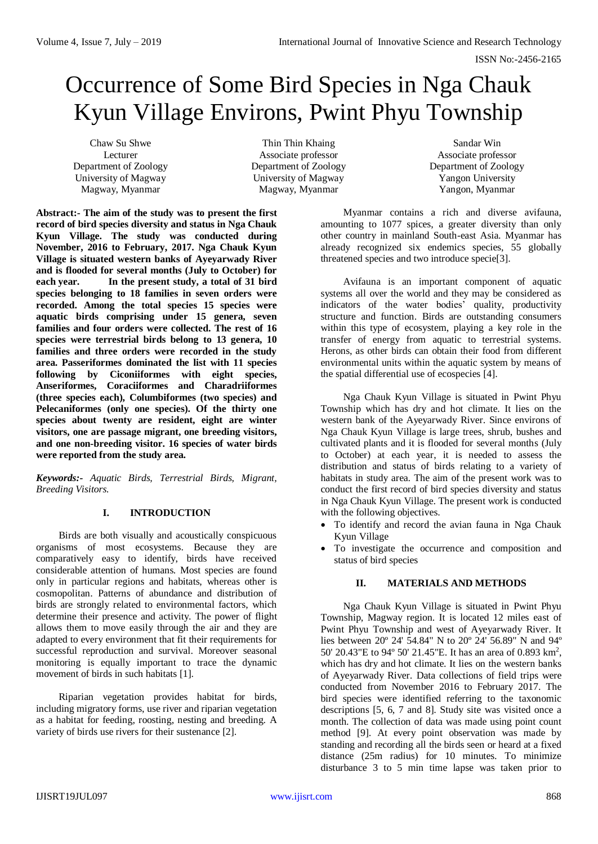# Occurrence of Some Bird Species in Nga Chauk Kyun Village Environs, Pwint Phyu Township

Chaw Su Shwe Lecturer Department of Zoology University of Magway Magway, Myanmar

Thin Thin Khaing Associate professor Department of Zoology University of Magway Magway, Myanmar

Sandar Win Associate professor Department of Zoology Yangon University Yangon, Myanmar

**Abstract:- The aim of the study was to present the first record of bird species diversity and status in Nga Chauk Kyun Village. The study was conducted during November, 2016 to February, 2017. Nga Chauk Kyun Village is situated western banks of Ayeyarwady River and is flooded for several months (July to October) for each year. In the present study, a total of 31 bird species belonging to 18 families in seven orders were recorded. Among the total species 15 species were aquatic birds comprising under 15 genera, seven families and four orders were collected. The rest of 16 species were terrestrial birds belong to 13 genera, 10 families and three orders were recorded in the study area. Passeriformes dominated the list with 11 species following by Ciconiiformes with eight species, Anseriformes, Coraciiformes and Charadriiformes (three species each), Columbiformes (two species) and Pelecaniformes (only one species). Of the thirty one species about twenty are resident, eight are winter visitors, one are passage migrant, one breeding visitors, and one non-breeding visitor. 16 species of water birds were reported from the study area.**

*Keywords:- Aquatic Birds, Terrestrial Birds, Migrant, Breeding Visitors.*

# **I. INTRODUCTION**

Birds are both visually and acoustically conspicuous organisms of most ecosystems. Because they are comparatively easy to identify, birds have received considerable attention of humans. Most species are found only in particular regions and habitats, whereas other is cosmopolitan. Patterns of abundance and distribution of birds are strongly related to environmental factors, which determine their presence and activity. The power of flight allows them to move easily through the air and they are adapted to every environment that fit their requirements for successful reproduction and survival. Moreover seasonal monitoring is equally important to trace the dynamic movement of birds in such habitats [1].

Riparian vegetation provides habitat for birds, including migratory forms, use river and riparian vegetation as a habitat for feeding, roosting, nesting and breeding. A variety of birds use rivers for their sustenance [2].

Myanmar contains a rich and diverse avifauna, amounting to 1077 spices, a greater diversity than only other country in mainland South-east Asia. Myanmar has already recognized six endemics species, 55 globally threatened species and two introduce specie[3].

Avifauna is an important component of aquatic systems all over the world and they may be considered as indicators of the water bodies' quality, productivity structure and function. Birds are outstanding consumers within this type of ecosystem, playing a key role in the transfer of energy from aquatic to terrestrial systems. Herons, as other birds can obtain their food from different environmental units within the aquatic system by means of the spatial differential use of ecospecies [4].

Nga Chauk Kyun Village is situated in Pwint Phyu Township which has dry and hot climate. It lies on the western bank of the Ayeyarwady River. Since environs of Nga Chauk Kyun Village is large trees, shrub, bushes and cultivated plants and it is flooded for several months (July to October) at each year, it is needed to assess the distribution and status of birds relating to a variety of habitats in study area. The aim of the present work was to conduct the first record of bird species diversity and status in Nga Chauk Kyun Village. The present work is conducted with the following objectives.

- To identify and record the avian fauna in Nga Chauk Kyun Village
- To investigate the occurrence and composition and status of bird species

# **II. MATERIALS AND METHODS**

Nga Chauk Kyun Village is situated in Pwint Phyu Township, Magway region. It is located 12 miles east of Pwint Phyu Township and west of Ayeyarwady River. It lies between 20º 24' 54.84" N to 20º 24' 56.89" N and 94º 50' 20.43"E to 94º 50' 21.45"E. It has an area of 0.893 km<sup>2</sup> , which has dry and hot climate. It lies on the western banks of Ayeyarwady River. Data collections of field trips were conducted from November 2016 to February 2017. The bird species were identified referring to the taxonomic descriptions [5, 6, 7 and 8]. Study site was visited once a month. The collection of data was made using point count method [9]. At every point observation was made by standing and recording all the birds seen or heard at a fixed distance (25m radius) for 10 minutes. To minimize disturbance 3 to 5 min time lapse was taken prior to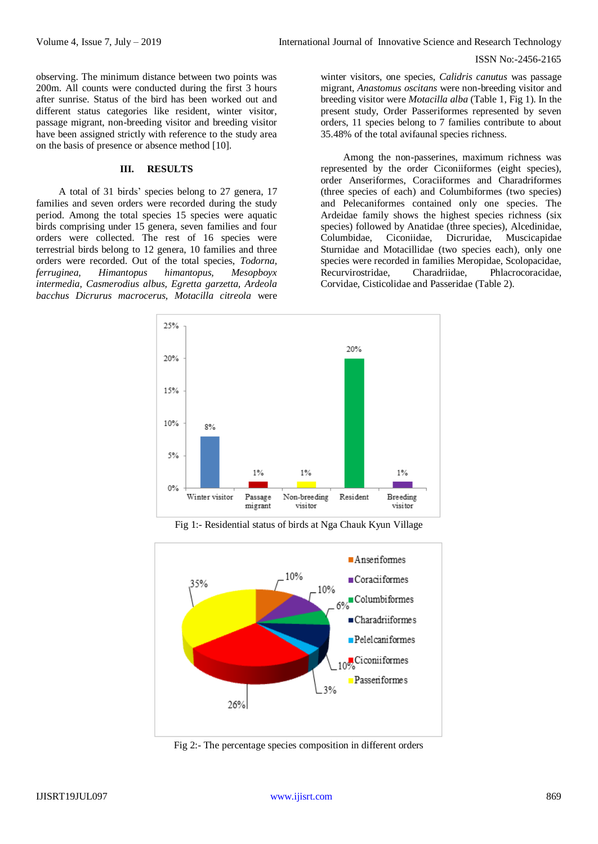observing. The minimum distance between two points was 200m. All counts were conducted during the first 3 hours after sunrise. Status of the bird has been worked out and different status categories like resident, winter visitor, passage migrant, non-breeding visitor and breeding visitor have been assigned strictly with reference to the study area on the basis of presence or absence method [10].

## **III. RESULTS**

A total of 31 birds' species belong to 27 genera, 17 families and seven orders were recorded during the study period. Among the total species 15 species were aquatic birds comprising under 15 genera, seven families and four orders were collected. The rest of 16 species were terrestrial birds belong to 12 genera, 10 families and three orders were recorded. Out of the total species, *Todorna, ferruginea, Himantopus himantopus, Mesopboyx intermedia, Casmerodius albus, Egretta garzetta, Ardeola bacchus Dicrurus macrocerus, Motacilla citreola* were

winter visitors, one species, *Calidris canutus* was passage migrant, *Anastomus oscitans* were non-breeding visitor and breeding visitor were *Motacilla alba* (Table 1, Fig 1). In the present study, Order Passeriformes represented by seven orders, 11 species belong to 7 families contribute to about 35.48% of the total avifaunal species richness.

Among the non-passerines, maximum richness was represented by the order Ciconiiformes (eight species), order Anseriformes, Coraciiformes and Charadriformes (three species of each) and Columbiformes (two species) and Pelecaniformes contained only one species. The Ardeidae family shows the highest species richness (six species) followed by Anatidae (three species), Alcedinidae, Columbidae, Ciconiidae, Dicruridae, Muscicapidae Sturnidae and Motacillidae (two species each), only one species were recorded in families Meropidae, Scolopacidae, Recurvirostridae, Charadriidae, Phlacrocoracidae, Corvidae, Cisticolidae and Passeridae (Table 2).



Fig 1:- Residential status of birds at Nga Chauk Kyun Village



Fig 2:- The percentage species composition in different orders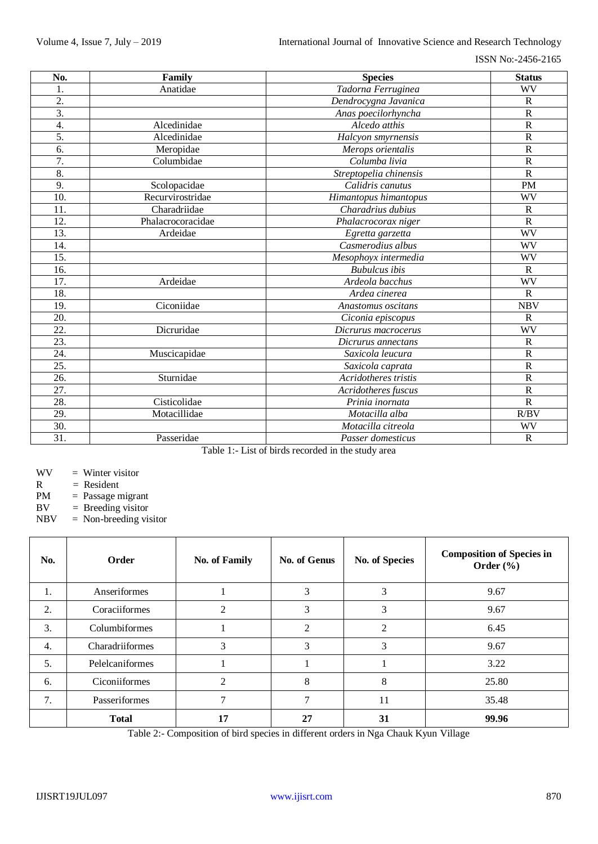| No.               | Family            | <b>Species</b>         | <b>Status</b>           |
|-------------------|-------------------|------------------------|-------------------------|
| 1.                | Anatidae          | Tadorna Ferruginea     | WV                      |
| $\overline{2}$ .  |                   | Dendrocygna Javanica   | $\mathbb{R}$            |
| $\overline{3}$ .  |                   | Anas poecilorhyncha    | $\overline{R}$          |
| 4.                | Alcedinidae       | Alcedo atthis          | $\mathbf R$             |
| 5.                | Alcedinidae       | Halcyon smyrnensis     | $\overline{\mathrm{R}}$ |
| 6.                | Meropidae         | Merops orientalis      | $\overline{\mathrm{R}}$ |
| 7.                | Columbidae        | Columba livia          | $\mathbf R$             |
| 8.                |                   | Streptopelia chinensis | $\overline{R}$          |
| 9.                | Scolopacidae      | Calidris canutus       | <b>PM</b>               |
| 10.               | Recurvirostridae  | Himantopus himantopus  | WV                      |
| 11.               | Charadriidae      | Charadrius dubius      | $\mathbb{R}$            |
| 12.               | Phalacrocoracidae | Phalacrocorax niger    | $\mathbf R$             |
| 13.               | Ardeidae          | Egretta garzetta       | WV                      |
| 14.               |                   | Casmerodius albus      | WV                      |
| 15.               |                   | Mesophoyx intermedia   | WV                      |
| 16.               |                   | <b>Bubulcus</b> ibis   | $\mathbf R$             |
| 17.               | Ardeidae          | Ardeola bacchus        | <b>WV</b>               |
| 18.               |                   | Ardea cinerea          | $\mathbf R$             |
| 19.               | Ciconiidae        | Anastomus oscitans     | <b>NBV</b>              |
| 20.               |                   | Ciconia episcopus      | $\mathbf R$             |
| $\overline{22}$ . | Dicruridae        | Dicrurus macrocerus    | <b>WV</b>               |
| 23.               |                   | Dicrurus annectans     | $\overline{\mathrm{R}}$ |
| 24.               | Muscicapidae      | Saxicola leucura       | $\overline{\mathrm{R}}$ |
| 25.               |                   | Saxicola caprata       | $\mathbf R$             |
| 26.               | Sturnidae         | Acridotheres tristis   | $\overline{\mathrm{R}}$ |
| $\overline{27}$ . |                   | Acridotheres fuscus    | $\overline{R}$          |
| 28.               | Cisticolidae      | Prinia inornata        | $\overline{R}$          |
| 29.               | Motacillidae      | Motacilla alba         | R/BV                    |
| 30.               |                   | Motacilla citreola     | WV                      |
| 31.               | Passeridae        | Passer domesticus      | $\mathbf R$             |

Table 1:- List of birds recorded in the study area

- $WV =$  Winter visitor
- $R = Resident$
- PM = Passage migrant
- BV = Breeding visitor
- NBV = Non-breeding visitor

| No. | Order           | <b>No. of Family</b> | No. of Genus   | <b>No. of Species</b> | <b>Composition of Species in</b><br>Order $(\% )$ |
|-----|-----------------|----------------------|----------------|-----------------------|---------------------------------------------------|
| 1.  | Anseriformes    |                      | 3              | 3                     | 9.67                                              |
| 2.  | Coraciiformes   | $\overline{2}$       | 3              | 3                     | 9.67                                              |
| 3.  | Columbiformes   |                      | $\overline{c}$ | 2                     | 6.45                                              |
| 4.  | Charadriiformes | 3                    | 3              | 3                     | 9.67                                              |
| 5.  | Pelelcaniformes |                      |                |                       | 3.22                                              |
| 6.  | Ciconiiformes   | $\overline{2}$       | 8              | 8                     | 25.80                                             |
| 7.  | Passeriformes   | $\mathcal{I}$        | ⇁              | 11                    | 35.48                                             |
|     | <b>Total</b>    | 17                   | 27             | 31                    | 99.96                                             |

Table 2:- Composition of bird species in different orders in Nga Chauk Kyun Village